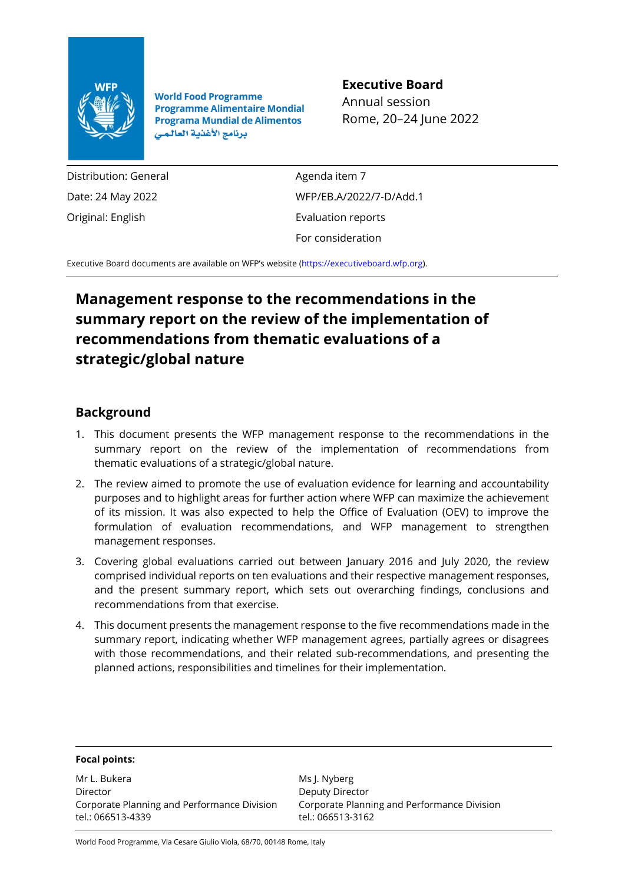

**World Food Programme Programme Alimentaire Mondial Programa Mundial de Alimentos** برنامج الأغذية العالمي

#### **Executive Board**

Annual session Rome, 20–24 June 2022

Distribution: General Date: 24 May 2022 Original: English

Agenda item 7 WFP/EB.A/2022/7-D/Add.1 Evaluation reports For consideration

Executive Board documents are available on WFP's website [\(https://executiveboard.wfp.org\)](https://executiveboard.wfp.org/).

### **Management response to the recommendations in the summary report on the review of the implementation of recommendations from thematic evaluations of a strategic/global nature**

#### **Background**

- 1. This document presents the WFP management response to the recommendations in the summary report on the review of the implementation of recommendations from thematic evaluations of a strategic/global nature.
- 2. The review aimed to promote the use of evaluation evidence for learning and accountability purposes and to highlight areas for further action where WFP can maximize the achievement of its mission. It was also expected to help the Office of Evaluation (OEV) to improve the formulation of evaluation recommendations, and WFP management to strengthen management responses.
- 3. Covering global evaluations carried out between January 2016 and July 2020, the review comprised individual reports on ten evaluations and their respective management responses, and the present summary report, which sets out overarching findings, conclusions and recommendations from that exercise.
- 4. This document presents the management response to the five recommendations made in the summary report, indicating whether WFP management agrees, partially agrees or disagrees with those recommendations, and their related sub-recommendations, and presenting the planned actions, responsibilities and timelines for their implementation.

|  | <b>Focal points:</b> |
|--|----------------------|
|--|----------------------|

Mr L. Bukera Director Corporate Planning and Performance Division tel.: 066513-4339

Ms J. Nyberg Deputy Director Corporate Planning and Performance Division tel.: 066513-3162

World Food Programme, Via Cesare Giulio Viola, 68/70, 00148 Rome, Italy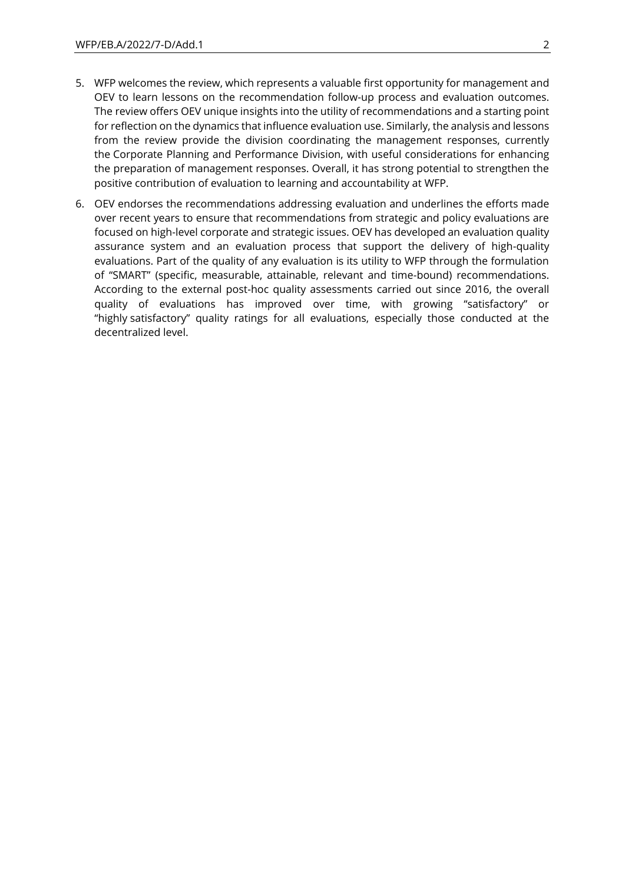- 5. WFP welcomes the review, which represents a valuable first opportunity for management and OEV to learn lessons on the recommendation follow-up process and evaluation outcomes. The review offers OEV unique insights into the utility of recommendations and a starting point for reflection on the dynamics that influence evaluation use. Similarly, the analysis and lessons from the review provide the division coordinating the management responses, currently the Corporate Planning and Performance Division, with useful considerations for enhancing the preparation of management responses. Overall, it has strong potential to strengthen the positive contribution of evaluation to learning and accountability at WFP.
- 6. OEV endorses the recommendations addressing evaluation and underlines the efforts made over recent years to ensure that recommendations from strategic and policy evaluations are focused on high-level corporate and strategic issues. OEV has developed an evaluation quality assurance system and an evaluation process that support the delivery of high-quality evaluations. Part of the quality of any evaluation is its utility to WFP through the formulation of "SMART" (specific, measurable, attainable, relevant and time-bound) recommendations. According to the external post-hoc quality assessments carried out since 2016, the overall quality of evaluations has improved over time, with growing "satisfactory" or "highly satisfactory" quality ratings for all evaluations, especially those conducted at the decentralized level.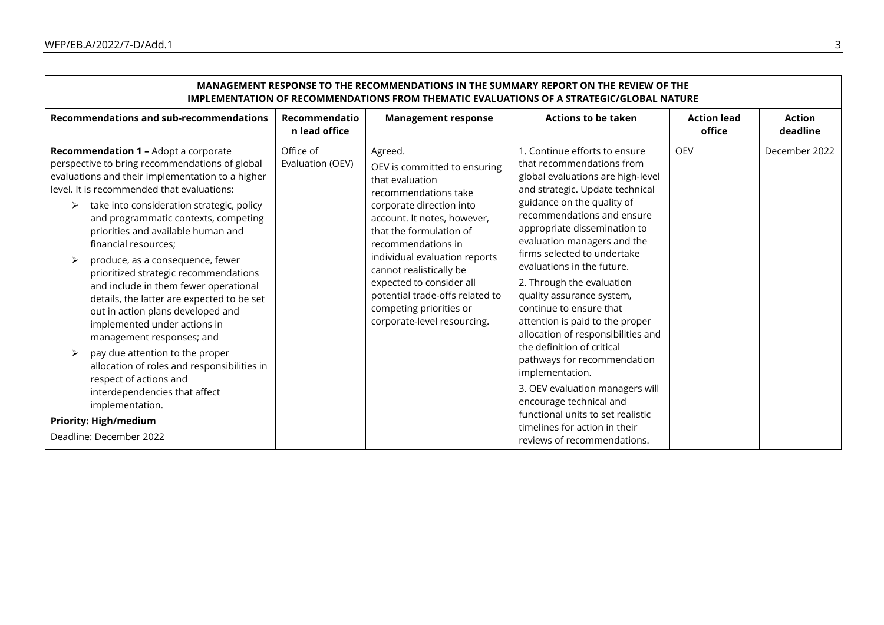| IMPLEMENTATION OF RECOMMENDATIONS FROM THEMATIC EVALUATIONS OF A STRATEGIC/GLOBAL NATURE                                                                                                                                                                                             |                                |                                                                                                                                                                                                                                    |                                                                                                                                                                                                                        |                                                |                           |  |
|--------------------------------------------------------------------------------------------------------------------------------------------------------------------------------------------------------------------------------------------------------------------------------------|--------------------------------|------------------------------------------------------------------------------------------------------------------------------------------------------------------------------------------------------------------------------------|------------------------------------------------------------------------------------------------------------------------------------------------------------------------------------------------------------------------|------------------------------------------------|---------------------------|--|
| <b>Recommendations and sub-recommendations</b>                                                                                                                                                                                                                                       | Recommendatio<br>n lead office | <b>Management response</b>                                                                                                                                                                                                         | <b>Actions to be taken</b>                                                                                                                                                                                             | <b>Action lead</b><br>office                   | <b>Action</b><br>deadline |  |
| <b>Recommendation 1 - Adopt a corporate</b><br>perspective to bring recommendations of global<br>evaluations and their implementation to a higher<br>level. It is recommended that evaluations:<br>take into consideration strategic, policy<br>and programmatic contexts, competing | Office of<br>Evaluation (OEV)  | Agreed.<br>OEV is committed to ensuring<br>that evaluation<br>recommendations take<br>corporate direction into<br>account. It notes, however,                                                                                      | 1. Continue efforts to ensure<br>that recommendations from<br>global evaluations are high-level<br>and strategic. Update technical<br>guidance on the quality of<br>recommendations and ensure                         | <b>OEV</b>                                     | December 2022             |  |
| priorities and available human and<br>financial resources;<br>produce, as a consequence, fewer<br>➤                                                                                                                                                                                  |                                | that the formulation of<br>recommendations in<br>individual evaluation reports<br>cannot realistically be<br>expected to consider all<br>potential trade-offs related to<br>competing priorities or<br>corporate-level resourcing. | appropriate dissemination to<br>evaluation managers and the<br>firms selected to undertake                                                                                                                             |                                                |                           |  |
| prioritized strategic recommendations<br>and include in them fewer operational<br>details, the latter are expected to be set<br>out in action plans developed and<br>implemented under actions in<br>management responses; and                                                       |                                |                                                                                                                                                                                                                                    | evaluations in the future.<br>2. Through the evaluation<br>quality assurance system,<br>continue to ensure that<br>attention is paid to the proper<br>allocation of responsibilities and<br>the definition of critical |                                                |                           |  |
| pay due attention to the proper<br>➤<br>allocation of roles and responsibilities in<br>respect of actions and                                                                                                                                                                        |                                |                                                                                                                                                                                                                                    |                                                                                                                                                                                                                        | pathways for recommendation<br>implementation. |                           |  |
| interdependencies that affect<br>implementation.                                                                                                                                                                                                                                     |                                |                                                                                                                                                                                                                                    | 3. OEV evaluation managers will<br>encourage technical and<br>functional units to set realistic                                                                                                                        |                                                |                           |  |
| <b>Priority: High/medium</b>                                                                                                                                                                                                                                                         |                                |                                                                                                                                                                                                                                    | timelines for action in their                                                                                                                                                                                          |                                                |                           |  |
| Deadline: December 2022                                                                                                                                                                                                                                                              |                                |                                                                                                                                                                                                                                    | reviews of recommendations.                                                                                                                                                                                            |                                                |                           |  |

## **MANAGEMENT RESPONSE TO THE RECOMMENDATIONS IN THE SUMMARY REPORT ON THE REVIEW OF THE**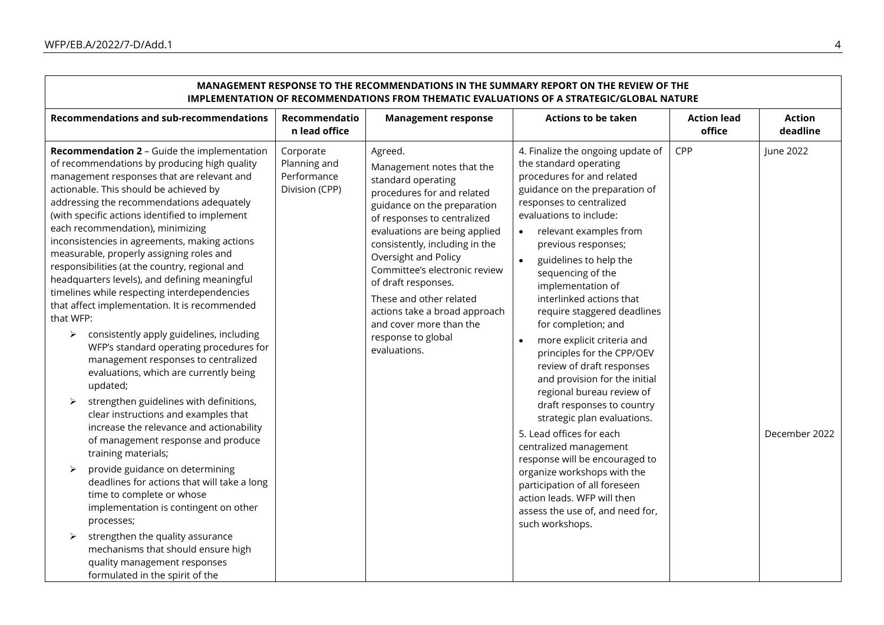| IMPLEMENTATION OF RECOMMENDATIONS FROM THEMATIC EVALUATIONS OF A STRATEGIC/GLOBAL NATURE                                                                                                                                                                                                                                                                                                                                                                                                                                                                                                                                                                                                                                                                                                                                                                                                                                                                                                                                                                                                                                                                                                                                                                                                                                                                                                                           |                                                            |                                                                                                                                                                                                                                                                                                                                                                                                                                        |                                                                                                                                                                                                                                                                                                                                                                                                                                                                                                                                                                                                                                                                                                                                                                                                                                                                          |                              |                            |  |
|--------------------------------------------------------------------------------------------------------------------------------------------------------------------------------------------------------------------------------------------------------------------------------------------------------------------------------------------------------------------------------------------------------------------------------------------------------------------------------------------------------------------------------------------------------------------------------------------------------------------------------------------------------------------------------------------------------------------------------------------------------------------------------------------------------------------------------------------------------------------------------------------------------------------------------------------------------------------------------------------------------------------------------------------------------------------------------------------------------------------------------------------------------------------------------------------------------------------------------------------------------------------------------------------------------------------------------------------------------------------------------------------------------------------|------------------------------------------------------------|----------------------------------------------------------------------------------------------------------------------------------------------------------------------------------------------------------------------------------------------------------------------------------------------------------------------------------------------------------------------------------------------------------------------------------------|--------------------------------------------------------------------------------------------------------------------------------------------------------------------------------------------------------------------------------------------------------------------------------------------------------------------------------------------------------------------------------------------------------------------------------------------------------------------------------------------------------------------------------------------------------------------------------------------------------------------------------------------------------------------------------------------------------------------------------------------------------------------------------------------------------------------------------------------------------------------------|------------------------------|----------------------------|--|
| <b>Recommendations and sub-recommendations</b>                                                                                                                                                                                                                                                                                                                                                                                                                                                                                                                                                                                                                                                                                                                                                                                                                                                                                                                                                                                                                                                                                                                                                                                                                                                                                                                                                                     | Recommendatio<br>n lead office                             | <b>Management response</b>                                                                                                                                                                                                                                                                                                                                                                                                             | <b>Actions to be taken</b>                                                                                                                                                                                                                                                                                                                                                                                                                                                                                                                                                                                                                                                                                                                                                                                                                                               | <b>Action lead</b><br>office | <b>Action</b><br>deadline  |  |
| Recommendation 2 - Guide the implementation<br>of recommendations by producing high quality<br>management responses that are relevant and<br>actionable. This should be achieved by<br>addressing the recommendations adequately<br>(with specific actions identified to implement<br>each recommendation), minimizing<br>inconsistencies in agreements, making actions<br>measurable, properly assigning roles and<br>responsibilities (at the country, regional and<br>headquarters levels), and defining meaningful<br>timelines while respecting interdependencies<br>that affect implementation. It is recommended<br>that WFP:<br>consistently apply guidelines, including<br>$\blacktriangleright$<br>WFP's standard operating procedures for<br>management responses to centralized<br>evaluations, which are currently being<br>updated;<br>strengthen guidelines with definitions,<br>$\blacktriangleright$<br>clear instructions and examples that<br>increase the relevance and actionability<br>of management response and produce<br>training materials;<br>provide guidance on determining<br>$\blacktriangleright$<br>deadlines for actions that will take a long<br>time to complete or whose<br>implementation is contingent on other<br>processes;<br>strengthen the quality assurance<br>mechanisms that should ensure high<br>quality management responses<br>formulated in the spirit of the | Corporate<br>Planning and<br>Performance<br>Division (CPP) | Agreed.<br>Management notes that the<br>standard operating<br>procedures for and related<br>guidance on the preparation<br>of responses to centralized<br>evaluations are being applied<br>consistently, including in the<br>Oversight and Policy<br>Committee's electronic review<br>of draft responses.<br>These and other related<br>actions take a broad approach<br>and cover more than the<br>response to global<br>evaluations. | 4. Finalize the ongoing update of<br>the standard operating<br>procedures for and related<br>guidance on the preparation of<br>responses to centralized<br>evaluations to include:<br>relevant examples from<br>$\bullet$<br>previous responses;<br>guidelines to help the<br>sequencing of the<br>implementation of<br>interlinked actions that<br>require staggered deadlines<br>for completion; and<br>more explicit criteria and<br>principles for the CPP/OEV<br>review of draft responses<br>and provision for the initial<br>regional bureau review of<br>draft responses to country<br>strategic plan evaluations.<br>5. Lead offices for each<br>centralized management<br>response will be encouraged to<br>organize workshops with the<br>participation of all foreseen<br>action leads. WFP will then<br>assess the use of, and need for,<br>such workshops. | CPP                          | June 2022<br>December 2022 |  |

# **MANAGEMENT RESPONSE TO THE RECOMMENDATIONS IN THE SUMMARY REPORT ON THE REVIEW OF THE**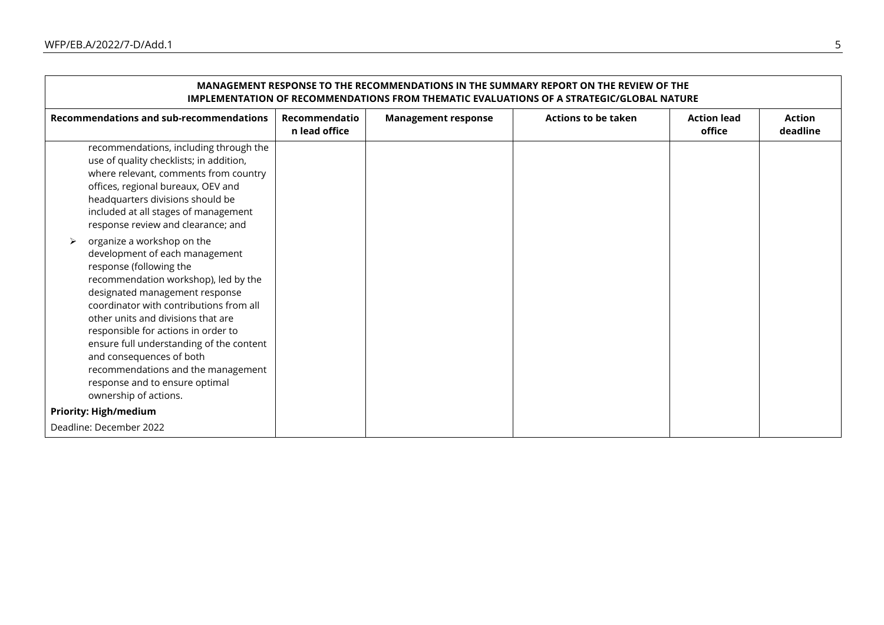$\Gamma$ 

| MANAGEMENT RESPONSE TO THE RECOMMENDATIONS IN THE SUMMARY REPORT ON THE REVIEW OF THE<br><b>IMPLEMENTATION OF RECOMMENDATIONS FROM THEMATIC EVALUATIONS OF A STRATEGIC/GLOBAL NATURE</b> |                                                                                                                                                                                                                                                                                                                                                                                    |                                |                            |                            |                              |                           |
|------------------------------------------------------------------------------------------------------------------------------------------------------------------------------------------|------------------------------------------------------------------------------------------------------------------------------------------------------------------------------------------------------------------------------------------------------------------------------------------------------------------------------------------------------------------------------------|--------------------------------|----------------------------|----------------------------|------------------------------|---------------------------|
|                                                                                                                                                                                          | <b>Recommendations and sub-recommendations</b>                                                                                                                                                                                                                                                                                                                                     | Recommendatio<br>n lead office | <b>Management response</b> | <b>Actions to be taken</b> | <b>Action lead</b><br>office | <b>Action</b><br>deadline |
|                                                                                                                                                                                          | recommendations, including through the<br>use of quality checklists; in addition,<br>where relevant, comments from country<br>offices, regional bureaux, OEV and<br>headquarters divisions should be<br>included at all stages of management<br>response review and clearance; and                                                                                                 |                                |                            |                            |                              |                           |
| ➤<br>response (following the<br>and consequences of both<br>ownership of actions.                                                                                                        | organize a workshop on the<br>development of each management<br>recommendation workshop), led by the<br>designated management response<br>coordinator with contributions from all<br>other units and divisions that are<br>responsible for actions in order to<br>ensure full understanding of the content<br>recommendations and the management<br>response and to ensure optimal |                                |                            |                            |                              |                           |
| <b>Priority: High/medium</b><br>Deadline: December 2022                                                                                                                                  |                                                                                                                                                                                                                                                                                                                                                                                    |                                |                            |                            |                              |                           |

 $\overline{\phantom{0}}$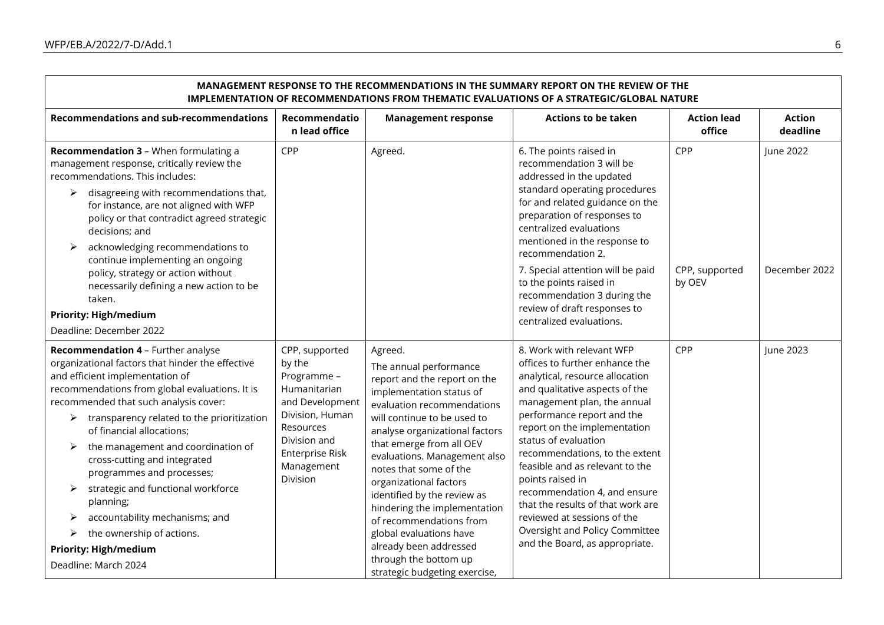$\Gamma$ 

| MANAGEMENT RESPONSE TO THE RECOMMENDATIONS IN THE SUMMARY REPORT ON THE REVIEW OF THE<br><b>IMPLEMENTATION OF RECOMMENDATIONS FROM THEMATIC EVALUATIONS OF A STRATEGIC/GLOBAL NATURE</b>                                                                                                                                                                                                                                                                                                                                                                                      |                                                                                                                                                                         |                                                                                                                                                                                                                                                                                                                                                                                                                                                                                      |                                                                                                                                                                                                                                                                                                                                                                                                                                                                                                                        |                              |                           |  |
|-------------------------------------------------------------------------------------------------------------------------------------------------------------------------------------------------------------------------------------------------------------------------------------------------------------------------------------------------------------------------------------------------------------------------------------------------------------------------------------------------------------------------------------------------------------------------------|-------------------------------------------------------------------------------------------------------------------------------------------------------------------------|--------------------------------------------------------------------------------------------------------------------------------------------------------------------------------------------------------------------------------------------------------------------------------------------------------------------------------------------------------------------------------------------------------------------------------------------------------------------------------------|------------------------------------------------------------------------------------------------------------------------------------------------------------------------------------------------------------------------------------------------------------------------------------------------------------------------------------------------------------------------------------------------------------------------------------------------------------------------------------------------------------------------|------------------------------|---------------------------|--|
| <b>Recommendations and sub-recommendations</b>                                                                                                                                                                                                                                                                                                                                                                                                                                                                                                                                | Recommendatio<br>n lead office                                                                                                                                          | <b>Management response</b>                                                                                                                                                                                                                                                                                                                                                                                                                                                           | <b>Actions to be taken</b>                                                                                                                                                                                                                                                                                                                                                                                                                                                                                             | <b>Action lead</b><br>office | <b>Action</b><br>deadline |  |
| Recommendation 3 - When formulating a<br>management response, critically review the<br>recommendations. This includes:<br>disagreeing with recommendations that,<br>➤<br>for instance, are not aligned with WFP<br>policy or that contradict agreed strategic<br>decisions; and<br>acknowledging recommendations to<br>➤<br>continue implementing an ongoing                                                                                                                                                                                                                  | CPP                                                                                                                                                                     | Agreed.                                                                                                                                                                                                                                                                                                                                                                                                                                                                              | 6. The points raised in<br>recommendation 3 will be<br>addressed in the updated<br>standard operating procedures<br>for and related guidance on the<br>preparation of responses to<br>centralized evaluations<br>mentioned in the response to<br>recommendation 2.                                                                                                                                                                                                                                                     | CPP                          | June 2022                 |  |
| policy, strategy or action without<br>necessarily defining a new action to be<br>taken.                                                                                                                                                                                                                                                                                                                                                                                                                                                                                       |                                                                                                                                                                         |                                                                                                                                                                                                                                                                                                                                                                                                                                                                                      | 7. Special attention will be paid<br>to the points raised in<br>recommendation 3 during the<br>review of draft responses to                                                                                                                                                                                                                                                                                                                                                                                            | CPP, supported<br>by OEV     | December 2022             |  |
| <b>Priority: High/medium</b><br>Deadline: December 2022                                                                                                                                                                                                                                                                                                                                                                                                                                                                                                                       |                                                                                                                                                                         |                                                                                                                                                                                                                                                                                                                                                                                                                                                                                      | centralized evaluations.                                                                                                                                                                                                                                                                                                                                                                                                                                                                                               |                              |                           |  |
| Recommendation 4 - Further analyse<br>organizational factors that hinder the effective<br>and efficient implementation of<br>recommendations from global evaluations. It is<br>recommended that such analysis cover:<br>transparency related to the prioritization<br>➤<br>of financial allocations;<br>the management and coordination of<br>➤<br>cross-cutting and integrated<br>programmes and processes;<br>strategic and functional workforce<br>➤<br>planning;<br>accountability mechanisms; and<br>➤<br>the ownership of actions.<br>➤<br><b>Priority: High/medium</b> | CPP, supported<br>by the<br>Programme -<br>Humanitarian<br>and Development<br>Division, Human<br>Resources<br>Division and<br>Enterprise Risk<br>Management<br>Division | Agreed.<br>The annual performance<br>report and the report on the<br>implementation status of<br>evaluation recommendations<br>will continue to be used to<br>analyse organizational factors<br>that emerge from all OEV<br>evaluations. Management also<br>notes that some of the<br>organizational factors<br>identified by the review as<br>hindering the implementation<br>of recommendations from<br>global evaluations have<br>already been addressed<br>through the bottom up | 8. Work with relevant WFP<br>offices to further enhance the<br>analytical, resource allocation<br>and qualitative aspects of the<br>management plan, the annual<br>performance report and the<br>report on the implementation<br>status of evaluation<br>recommendations, to the extent<br>feasible and as relevant to the<br>points raised in<br>recommendation 4, and ensure<br>that the results of that work are<br>reviewed at sessions of the<br>Oversight and Policy Committee<br>and the Board, as appropriate. | CPP                          | June 2023                 |  |
| Deadline: March 2024                                                                                                                                                                                                                                                                                                                                                                                                                                                                                                                                                          |                                                                                                                                                                         |                                                                                                                                                                                                                                                                                                                                                                                                                                                                                      | strategic budgeting exercise,                                                                                                                                                                                                                                                                                                                                                                                                                                                                                          |                              |                           |  |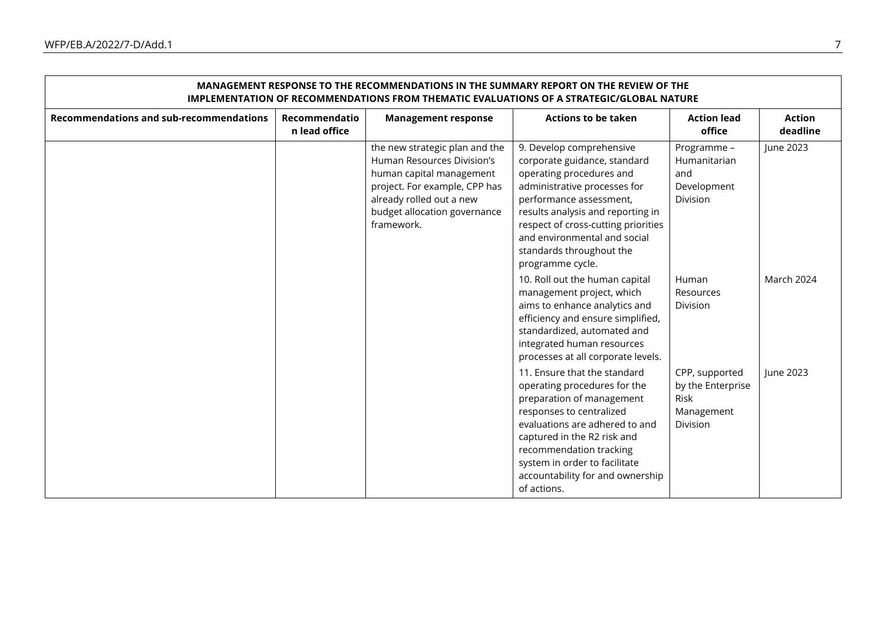$\mathsf{r}$ 

| MANAGEMENT RESPONSE TO THE RECOMMENDATIONS IN THE SUMMARY REPORT ON THE REVIEW OF THE<br>IMPLEMENTATION OF RECOMMENDATIONS FROM THEMATIC EVALUATIONS OF A STRATEGIC/GLOBAL NATURE |                                |                                                                                                                                                                                                     |                                                                                                                                                                                                                                                                                                             |                                                                              |                           |
|-----------------------------------------------------------------------------------------------------------------------------------------------------------------------------------|--------------------------------|-----------------------------------------------------------------------------------------------------------------------------------------------------------------------------------------------------|-------------------------------------------------------------------------------------------------------------------------------------------------------------------------------------------------------------------------------------------------------------------------------------------------------------|------------------------------------------------------------------------------|---------------------------|
| <b>Recommendations and sub-recommendations</b>                                                                                                                                    | Recommendatio<br>n lead office | <b>Management response</b>                                                                                                                                                                          | <b>Actions to be taken</b>                                                                                                                                                                                                                                                                                  | <b>Action lead</b><br>office                                                 | <b>Action</b><br>deadline |
|                                                                                                                                                                                   |                                | the new strategic plan and the<br>Human Resources Division's<br>human capital management<br>project. For example, CPP has<br>already rolled out a new<br>budget allocation governance<br>framework. | 9. Develop comprehensive<br>corporate guidance, standard<br>operating procedures and<br>administrative processes for<br>performance assessment,<br>results analysis and reporting in<br>respect of cross-cutting priorities<br>and environmental and social<br>standards throughout the<br>programme cycle. | Programme -<br>Humanitarian<br>and<br>Development<br>Division                | June 2023                 |
|                                                                                                                                                                                   |                                |                                                                                                                                                                                                     | 10. Roll out the human capital<br>management project, which<br>aims to enhance analytics and<br>efficiency and ensure simplified,<br>standardized, automated and<br>integrated human resources<br>processes at all corporate levels.                                                                        | Human<br>Resources<br>Division                                               | <b>March 2024</b>         |
|                                                                                                                                                                                   |                                |                                                                                                                                                                                                     | 11. Ensure that the standard<br>operating procedures for the<br>preparation of management<br>responses to centralized<br>evaluations are adhered to and<br>captured in the R2 risk and<br>recommendation tracking<br>system in order to facilitate<br>accountability for and ownership<br>of actions.       | CPP, supported<br>by the Enterprise<br>Risk<br>Management<br><b>Division</b> | June 2023                 |